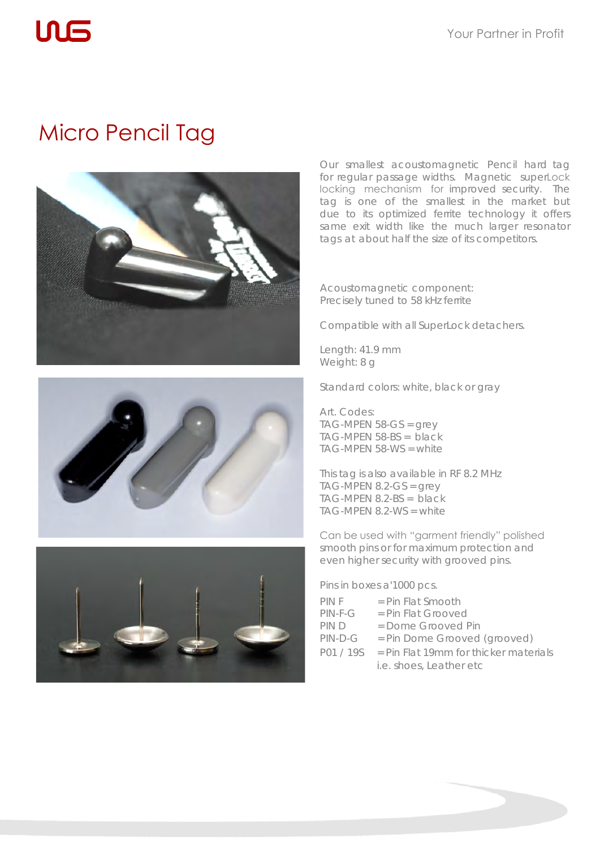## Micro Pencil Tag

 $\ln \mathsf{F}$ 







Our smallest acoustomagnetic Pencil hard tag for regular passage widths. Magnetic superLock locking mechanism for improved security. The tag is one of the smallest in the market but due to its optimized ferrite technology it offers same exit width like the much larger resonator tags at about half the size of its competitors.

Acoustomagnetic component: Precisely tuned to 58 kHz ferrite

Compatible with all SuperLock detachers.

Length: 41.9 mm Weight: 8 g

Standard colors: white, black or gray

Art. Codes: TAG-MPEN 58-GS = grey TAG-MPEN 58-BS = black TAG-MPEN 58-WS = white

This tag is also available in RF 8.2 MHz  $TAG-MPEN 8.2-GS = grey$ TAG-MPEN 8.2-BS = black TAG-MPEN 8.2-WS = white

Can be used with "garment friendly" polished smooth pins or for maximum protection and even higher security with grooved pins.

Pins in boxes a'1000 pcs.

| PIN F     | $=$ Pin Flat Smooth                     |
|-----------|-----------------------------------------|
| $PIN-F-G$ | $=$ Pin Flat Grooved                    |
| PIN D     | $=$ Dome Grooved Pin                    |
| $PIN-D-G$ | = Pin Dome Grooved (grooved)            |
| P01/19S   | $=$ Pin Flat 19mm for thicker materials |
|           | i.e. shoes, Leather etc                 |